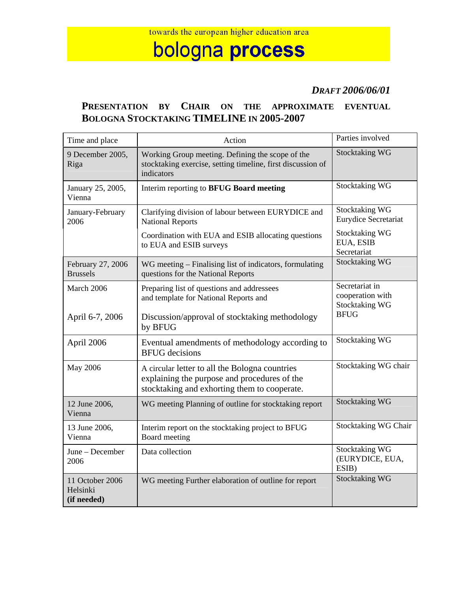## bologna process

## *DRAFT 2006/06/01*

## **PRESENTATION BY CHAIR ON THE APPROXIMATE EVENTUAL BOLOGNA STOCKTAKING TIMELINE IN 2005-2007**

| Time and place                             | Action                                                                                                                                         | Parties involved                                            |
|--------------------------------------------|------------------------------------------------------------------------------------------------------------------------------------------------|-------------------------------------------------------------|
| 9 December 2005,<br>Riga                   | Working Group meeting. Defining the scope of the<br>stocktaking exercise, setting timeline, first discussion of<br>indicators                  | <b>Stocktaking WG</b>                                       |
| January 25, 2005,<br>Vienna                | Interim reporting to BFUG Board meeting                                                                                                        | <b>Stocktaking WG</b>                                       |
| January-February<br>2006                   | Clarifying division of labour between EURYDICE and<br><b>National Reports</b>                                                                  | <b>Stocktaking WG</b><br>Eurydice Secretariat               |
|                                            | Coordination with EUA and ESIB allocating questions<br>to EUA and ESIB surveys                                                                 | <b>Stocktaking WG</b><br>EUA, ESIB<br>Secretariat           |
| February 27, 2006<br><b>Brussels</b>       | WG meeting – Finalising list of indicators, formulating<br>questions for the National Reports                                                  | <b>Stocktaking WG</b>                                       |
| March 2006                                 | Preparing list of questions and addressees<br>and template for National Reports and                                                            | Secretariat in<br>cooperation with<br><b>Stocktaking WG</b> |
| April 6-7, 2006                            | Discussion/approval of stocktaking methodology<br>by BFUG                                                                                      | <b>BFUG</b>                                                 |
| April 2006                                 | Eventual amendments of methodology according to<br><b>BFUG</b> decisions                                                                       | <b>Stocktaking WG</b>                                       |
| <b>May 2006</b>                            | A circular letter to all the Bologna countries<br>explaining the purpose and procedures of the<br>stocktaking and exhorting them to cooperate. | Stocktaking WG chair                                        |
| 12 June 2006,<br>Vienna                    | WG meeting Planning of outline for stocktaking report                                                                                          | <b>Stocktaking WG</b>                                       |
| 13 June 2006,<br>Vienna                    | Interim report on the stocktaking project to BFUG<br>Board meeting                                                                             | Stocktaking WG Chair                                        |
| June - December<br>2006                    | Data collection                                                                                                                                | <b>Stocktaking WG</b><br>(EURYDICE, EUA,<br>ESIB)           |
| 11 October 2006<br>Helsinki<br>(if needed) | WG meeting Further elaboration of outline for report                                                                                           | <b>Stocktaking WG</b>                                       |